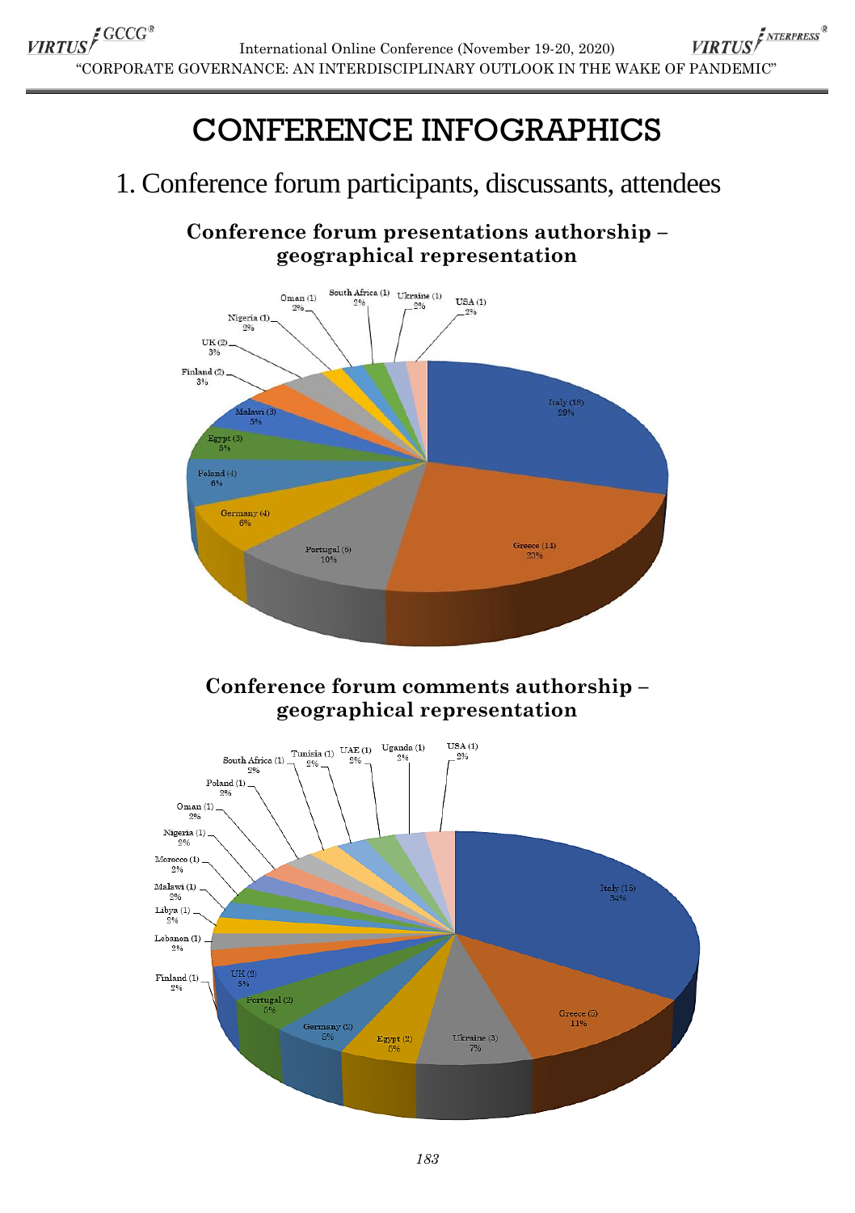# CONFERENCE INFOGRAPHICS

## 1. Conference forum participants, discussants, attendees

### **Conference forum presentations authorship – geographical representation**



Ukraine (3)<br> $\frac{7\%}{7\%}$ 

 $E_{\text{gypt}}(2)$ <br> $5\%$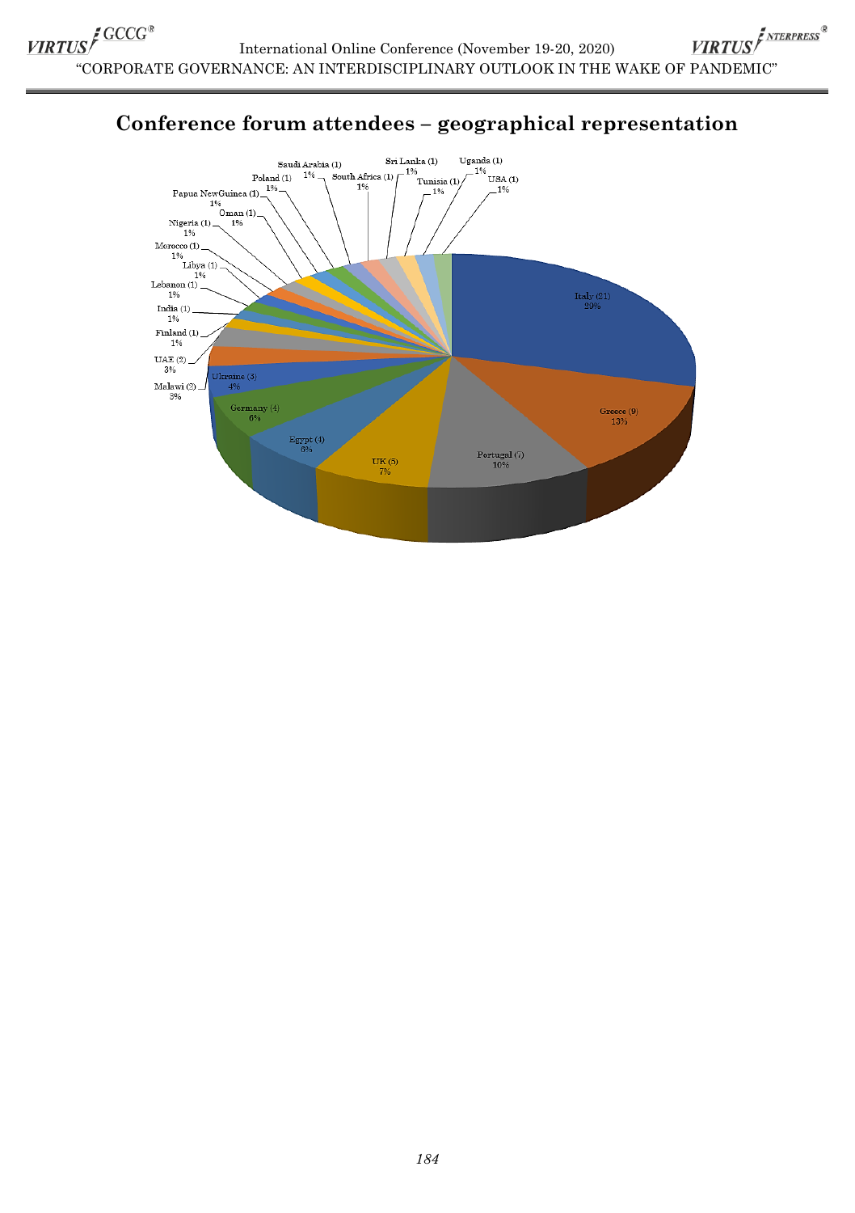

### **Conference forum attendees – geographical representation**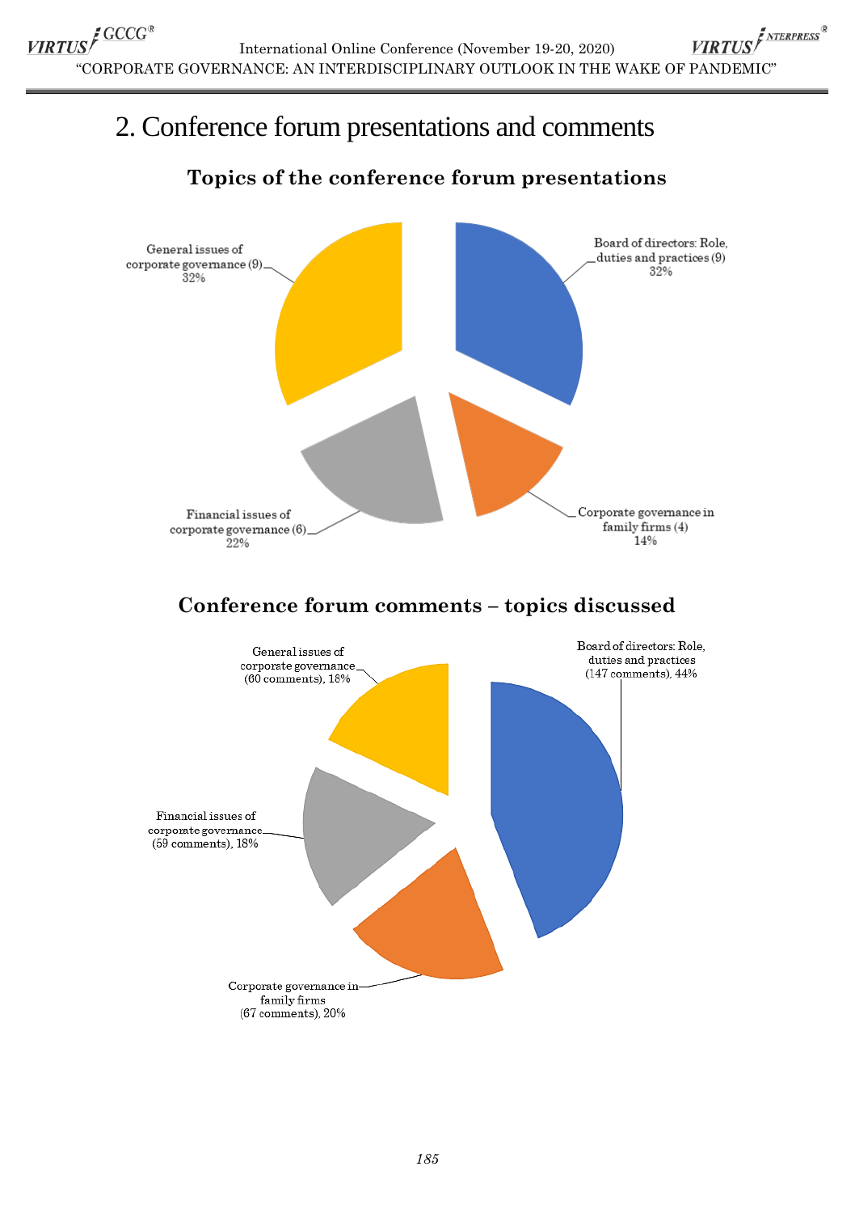## 2. Conference forum presentations and comments

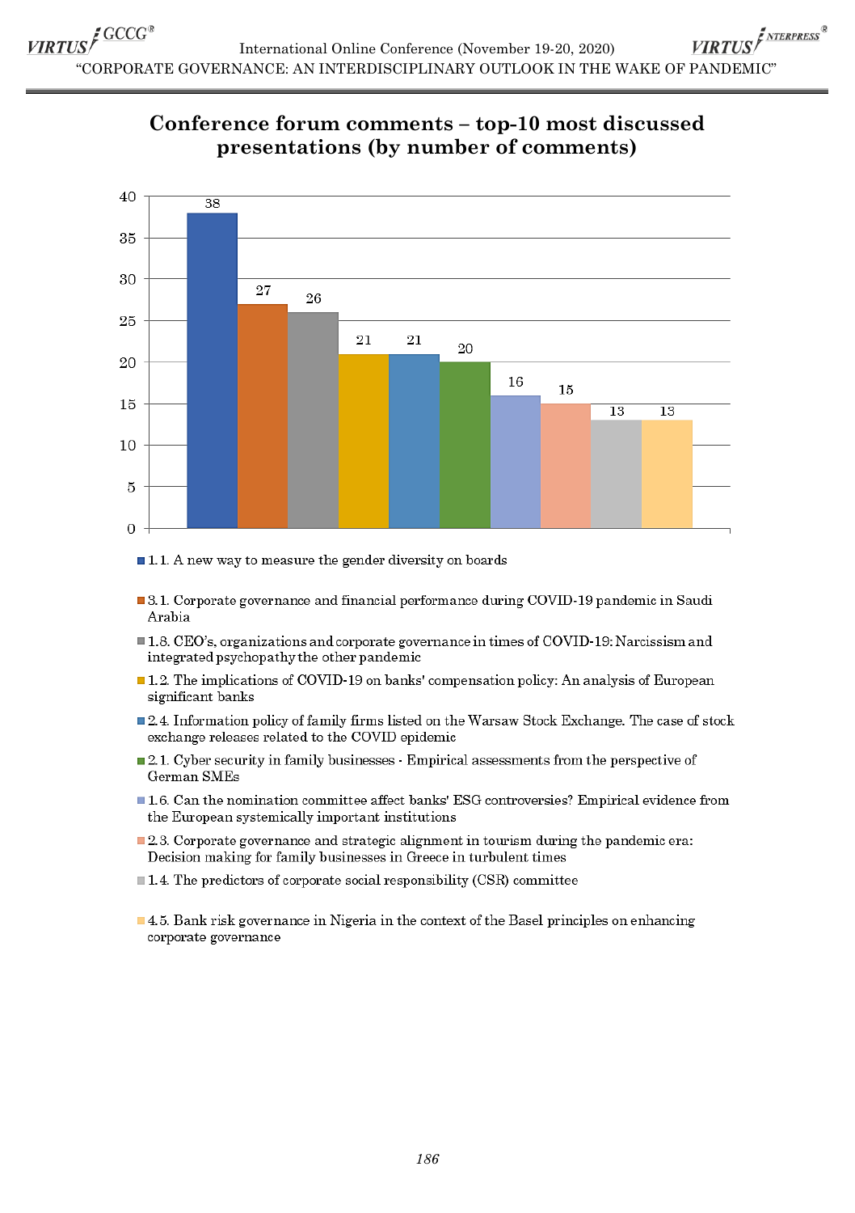### Conference forum comments - top-10 most discussed presentations (by number of comments)



 $\blacksquare$  1.1. A new way to measure the gender diversity on boards

- **3.1.** Corporate governance and financial performance during COVID-19 pandemic in Saudi Arabia
- 1.8. CEO's, organizations and corporate governance in times of COVID-19: Narcissism and integrated psychopathy the other pandemic
- $\blacksquare$  1.2. The implications of COVID-19 on banks' compensation policy: An analysis of European significant banks
- 2.4. Information policy of family firms listed on the Warsaw Stock Exchange. The case of stock exchange releases related to the COVID epidemic
- 2.1. Cyber security in family businesses Empirical assessments from the perspective of German SMEs
- 1.6. Can the nomination committee affect banks' ESG controversies? Empirical evidence from the European systemically important institutions
- **2.3.** Corporate governance and strategic alignment in tourism during the pandemic era: Decision making for family businesses in Greece in turbulent times
- $\blacksquare$  1.4. The predictors of corporate social responsibility (CSR) committee
- 4.5. Bank risk governance in Nigeria in the context of the Basel principles on enhancing corporate governance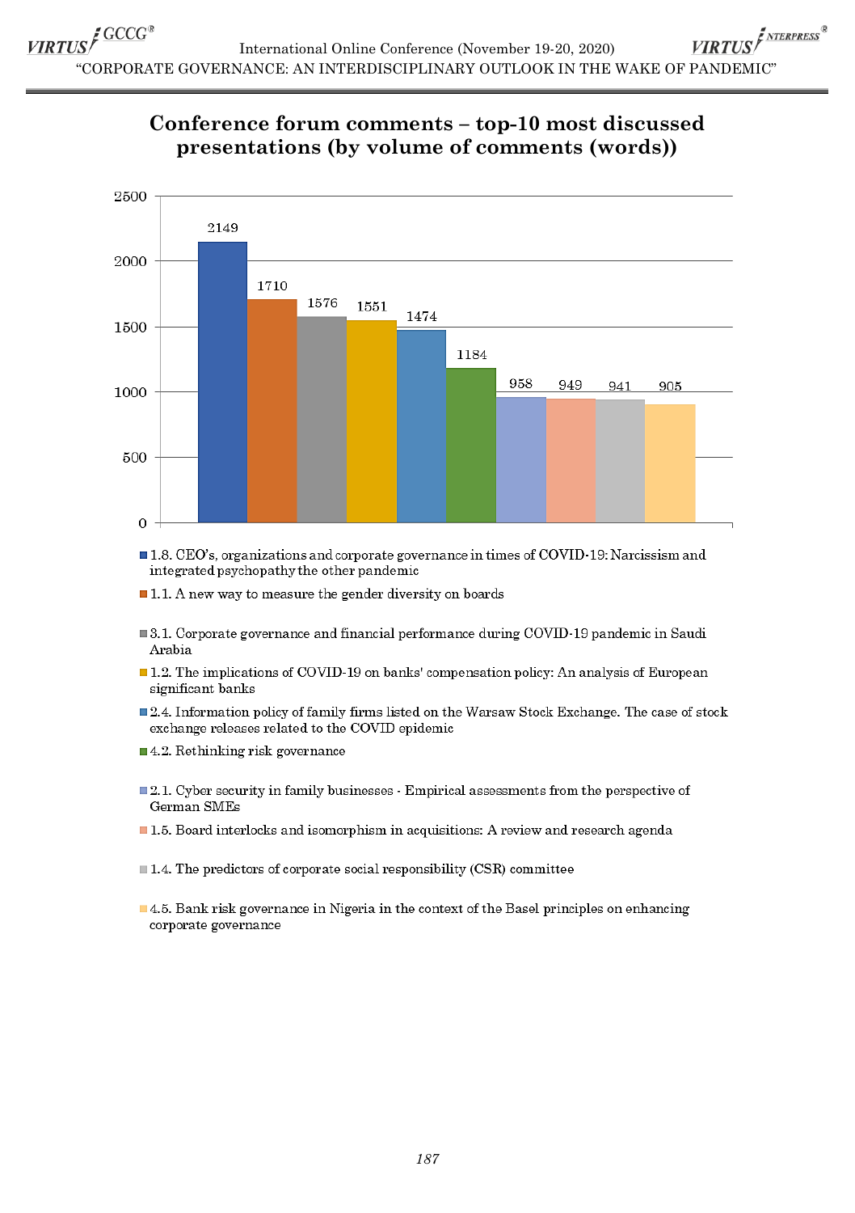#### Conference forum comments - top-10 most discussed presentations (by volume of comments (words))



1.8. CEO's, organizations and corporate governance in times of COVID-19: Narcissism and integrated psychopathy the other pandemic

 $\blacksquare$  1.1. A new way to measure the gender diversity on boards

- 3.1. Corporate governance and financial performance during COVID-19 pandemic in Saudi Arabia
- $\blacksquare$  1.2. The implications of COVID-19 on banks' compensation policy: An analysis of European significant banks
- $\blacksquare$  2.4. Information policy of family firms listed on the Warsaw Stock Exchange. The case of stock exchange releases related to the COVID epidemic
- $\blacksquare$  4.2. Rethinking risk governance
- 2.1. Cyber security in family businesses · Empirical assessments from the perspective of German SMEs
- 1.5. Board interlocks and isomorphism in acquisitions: A review and research agenda

 $\blacksquare$  1.4. The predictors of corporate social responsibility (CSR) committee

 $\blacksquare$  4.5. Bank risk governance in Nigeria in the context of the Basel principles on enhancing corporate governance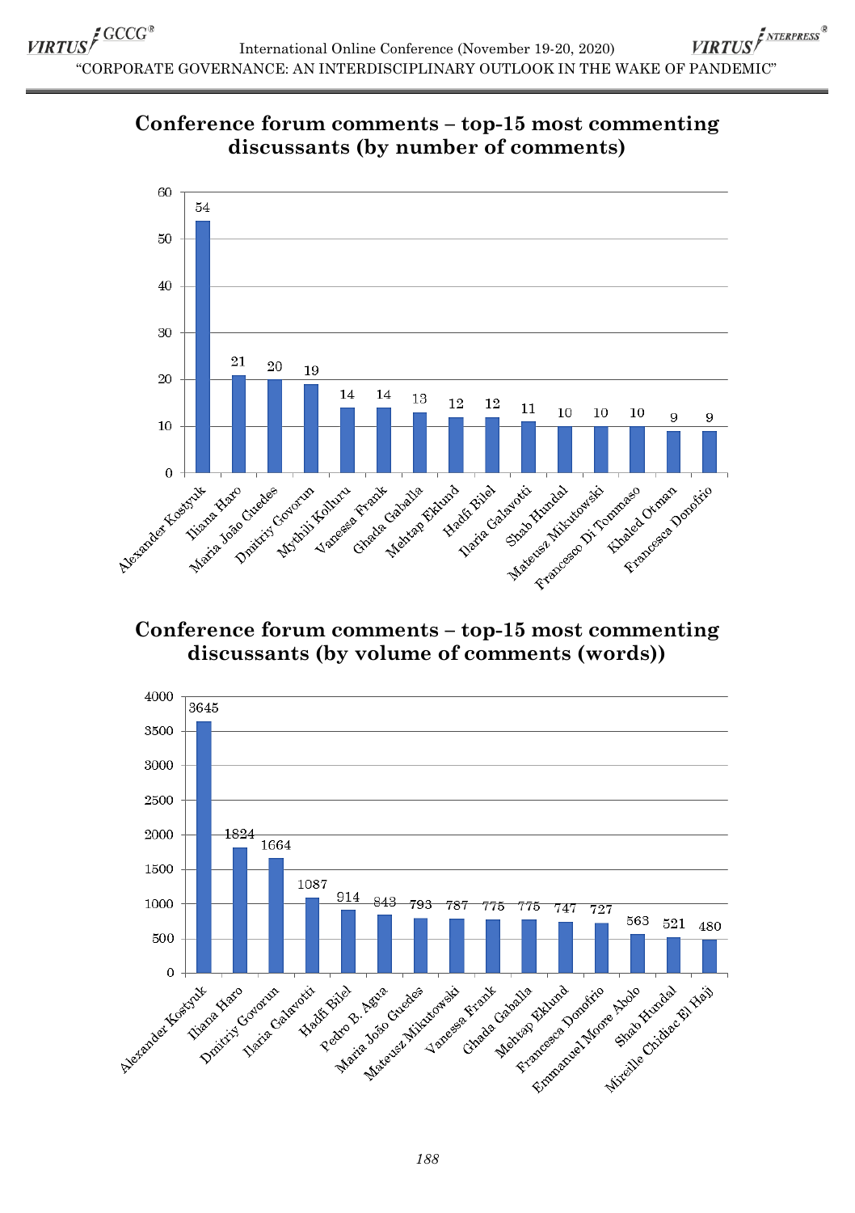



#### **Conference forum comments – top-15 most commenting discussants (by volume of comments (words))**